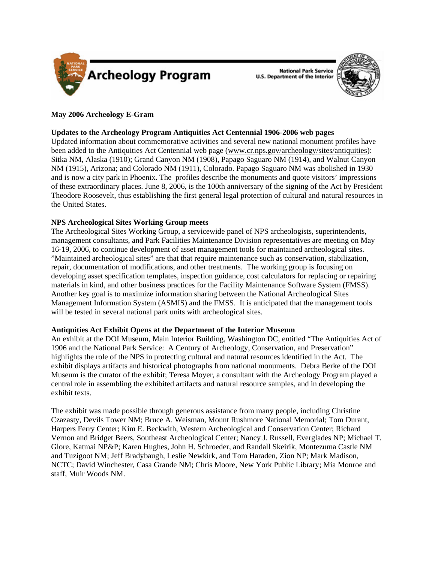

**National Park Service U.S. Department of the Interior** 



# **May 2006 Archeology E-Gram**

### **Updates to the Archeology Program Antiquities Act Centennial 1906-2006 web pages**

Updated information about commemorative activities and several new national monument profiles have been added to the Antiquities Act Centennial web page ([www.cr.nps.gov/archeology/sites/antiquities\)](http://www.cr.nps.gov/archeology/sites/antiquities/): Sitka NM, Alaska (1910); Grand Canyon NM (1908), Papago Saguaro NM (1914), and Walnut Canyon NM (1915), Arizona; and Colorado NM (1911), Colorado. Papago Saguaro NM was abolished in 1930 and is now a city park in Phoenix. The profiles describe the monuments and quote visitors' impressions of these extraordinary places. June 8, 2006, is the 100th anniversary of the signing of the Act by President Theodore Roosevelt, thus establishing the first general legal protection of cultural and natural resources in the United States.

### **NPS Archeological Sites Working Group meets**

The Archeological Sites Working Group, a servicewide panel of NPS archeologists, superintendents, management consultants, and Park Facilities Maintenance Division representatives are meeting on May 16-19, 2006, to continue development of asset management tools for maintained archeological sites. "Maintained archeological sites" are that that require maintenance such as conservation, stabilization, repair, documentation of modifications, and other treatments. The working group is focusing on developing asset specification templates, inspection guidance, cost calculators for replacing or repairing materials in kind, and other business practices for the Facility Maintenance Software System (FMSS). Another key goal is to maximize information sharing between the National Archeological Sites Management Information System (ASMIS) and the FMSS. It is anticipated that the management tools will be tested in several national park units with archeological sites.

## **Antiquities Act Exhibit Opens at the Department of the Interior Museum**

An exhibit at the DOI Museum, Main Interior Building, Washington DC, entitled "The Antiquities Act of 1906 and the National Park Service: A Century of Archeology, Conservation, and Preservation" highlights the role of the NPS in protecting cultural and natural resources identified in the Act. The exhibit displays artifacts and historical photographs from national monuments. Debra Berke of the DOI Museum is the curator of the exhibit; Teresa Moyer, a consultant with the Archeology Program played a central role in assembling the exhibited artifacts and natural resource samples, and in developing the exhibit texts.

The exhibit was made possible through generous assistance from many people, including Christine Czazasty, Devils Tower NM; Bruce A. Weisman, Mount Rushmore National Memorial; Tom Durant, Harpers Ferry Center; Kim E. Beckwith, Western Archeological and Conservation Center; Richard Vernon and Bridget Beers, Southeast Archeological Center; Nancy J. Russell, Everglades NP; Michael T. Glore, Katmai NP&P; Karen Hughes, John H. Schroeder, and Randall Skeirik, Montezuma Castle NM and Tuzigoot NM; Jeff Bradybaugh, Leslie Newkirk, and Tom Haraden, Zion NP; Mark Madison, NCTC; David Winchester, Casa Grande NM; Chris Moore, New York Public Library; Mia Monroe and staff, Muir Woods NM.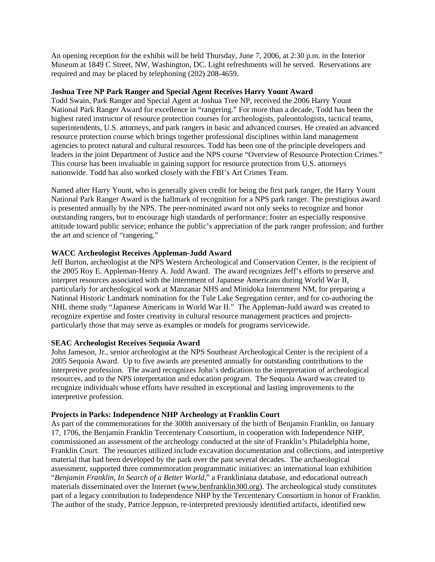An opening reception for the exhibit will be held Thursday, June 7, 2006, at 2:30 p.m. in the Interior Museum at 1849 C Street, NW, Washington, DC. Light refreshments will be served. Reservations are required and may be placed by telephoning (202) 208-4659.

#### **Joshua Tree NP Park Ranger and Special Agent Receives Harry Yount Award**

Todd Swain, Park Ranger and Special Agent at Joshua Tree NP, received the 2006 Harry Yount National Park Ranger Award for excellence in "rangering." For more than a decade, Todd has been the highest rated instructor of resource protection courses for archeologists, paleontologists, tactical teams, superintendents, U.S. attorneys, and park rangers in basic and advanced courses. He created an advanced resource protection course which brings together professional disciplines within land management agencies to protect natural and cultural resources. Todd has been one of the principle developers and leaders in the joint Department of Justice and the NPS course "Overview of Resource Protection Crimes." This course has been invaluable in gaining support for resource protection from U.S. attorneys nationwide. Todd has also worked closely with the FBI's Art Crimes Team.

Named after Harry Yount, who is generally given credit for being the first park ranger, the Harry Yount National Park Ranger Award is the hallmark of recognition for a NPS park ranger. The prestigious award is presented annually by the NPS. The peer-nominated award not only seeks to recognize and honor outstanding rangers, but to encourage high standards of performance; foster an especially responsive attitude toward public service; enhance the public's appreciation of the park ranger profession; and further the art and science of "rangering."

## **WACC Archeologist Receives Appleman-Judd Award**

Jeff Burton, archeologist at the NPS Western Archeological and Conservation Center, is the recipient of the 2005 Roy E. Appleman-Henry A. Judd Award. The award recognizes Jeff's efforts to preserve and interpret resources associated with the internment of Japanese Americans during World War II, particularly for archeological work at Manzanar NHS and Minidoka Internment NM, for preparing a National Historic Landmark nomination for the Tule Lake Segregation center, and for co-authoring the NHL theme study "Japanese Americans in World War II." The Appleman-Judd award was created to recognize expertise and foster creativity in cultural resource management practices and projectsparticularly those that may serve as examples or models for programs servicewide.

## **SEAC Archeologist Receives Sequoia Award**

John Jameson, Jr., senior archeologist at the NPS Southeast Archeological Center is the recipient of a 2005 Sequoia Award. Up to five awards are presented annually for outstanding contributions to the interpretive profession. The award recognizes John's dedication to the interpretation of archeological resources, and to the NPS interpretation and education program. The Sequoia Award was created to recognize individuals whose efforts have resulted in exceptional and lasting improvements to the interpretive profession.

## **Projects in Parks: Independence NHP Archeology at Franklin Court**

As part of the commemorations for the 300th anniversary of the birth of Benjamin Franklin, on January 17, 1706, the Benjamin Franklin Tercentenary Consortium, in cooperation with Independence NHP, commissioned an assessment of the archeology conducted at the site of Franklin's Philadelphia home, Franklin Court. The resources utilized include excavation documentation and collections, and interpretive material that had been developed by the park over the past several decades. The archaeological assessment, supported three commemoration programmatic initiatives: an international loan exhibition "*Benjamin Franklin, In Search of a Better World*," a Frankliniana database, and educational outreach materials disseminated over the Internet [\(www.benfranklin300.org\)](http://www.benfranklin300.org). The archeological study constitutes part of a legacy contribution to Independence NHP by the Tercentenary Consortium in honor of Franklin. The author of the study, Patrice Jeppson, re-interpreted previously identified artifacts, identified new